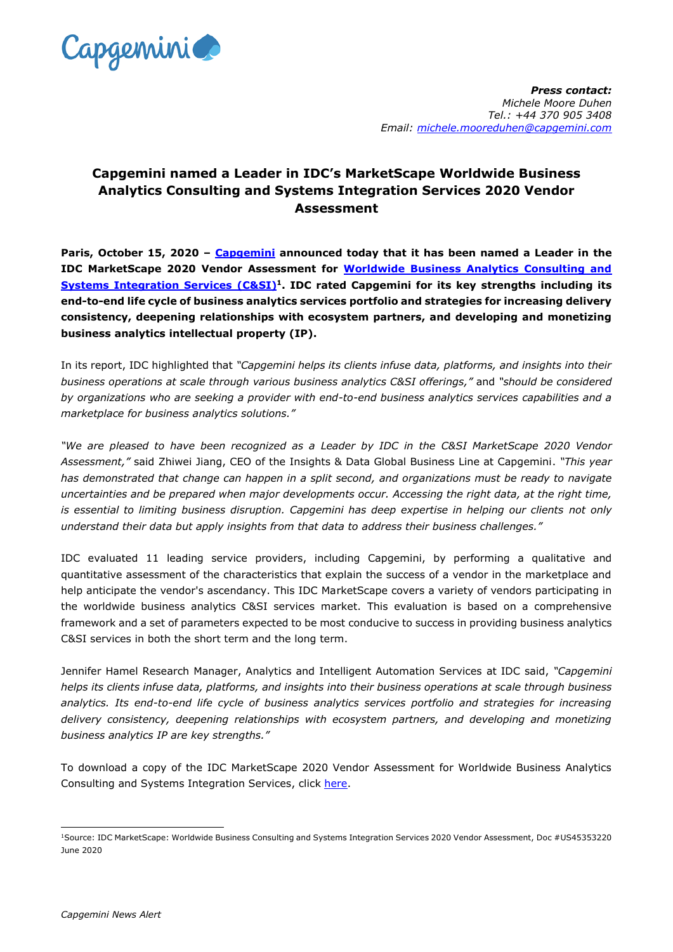

## **Capgemini named a Leader in IDC's MarketScape Worldwide Business Analytics Consulting and Systems Integration Services 2020 Vendor Assessment**

**Paris, October 15, 2020 – [Capgemini](https://www.capgemini.com/) announced today that it has been named a Leader in the IDC MarketScape 2020 Vendor Assessment for [Worldwide Business Analytics Consulting and](https://www.capgemini.com/resources/capgemini-named-as-a-leader-in-idc-marketscape-2020?utm_source=pr&utm_medium=referral&utm_content=insightsdata_none_link_pressrelease_none&utm_campaign=AI_Analytics_idc-leader)  [Systems Integration Services](https://www.capgemini.com/resources/capgemini-named-as-a-leader-in-idc-marketscape-2020?utm_source=pr&utm_medium=referral&utm_content=insightsdata_none_link_pressrelease_none&utm_campaign=AI_Analytics_idc-leader) (C&SI)<sup>1</sup>. IDC rated Capgemini for its key strengths including its end-to-end life cycle of business analytics services portfolio and strategies for increasing delivery consistency, deepening relationships with ecosystem partners, and developing and monetizing business analytics intellectual property (IP).**

In its report, IDC highlighted that *"Capgemini helps its clients infuse data, platforms, and insights into their business operations at scale through various business analytics C&SI offerings,"* and *"should be considered by organizations who are seeking a provider with end-to-end business analytics services capabilities and a marketplace for business analytics solutions."*

*"We are pleased to have been recognized as a Leader by IDC in the C&SI MarketScape 2020 Vendor Assessment,"* said Zhiwei Jiang, CEO of the Insights & Data Global Business Line at Capgemini. *"This year has demonstrated that change can happen in a split second, and organizations must be ready to navigate uncertainties and be prepared when major developments occur. Accessing the right data, at the right time, is essential to limiting business disruption. Capgemini has deep expertise in helping our clients not only understand their data but apply insights from that data to address their business challenges."* 

IDC evaluated 11 leading service providers, including Capgemini, by performing a qualitative and quantitative assessment of the characteristics that explain the success of a vendor in the marketplace and help anticipate the vendor's ascendancy. This IDC MarketScape covers a variety of vendors participating in the worldwide business analytics C&SI services market. This evaluation is based on a comprehensive framework and a set of parameters expected to be most conducive to success in providing business analytics C&SI services in both the short term and the long term.

Jennifer Hamel Research Manager, Analytics and Intelligent Automation Services at IDC said, *"Capgemini helps its clients infuse data, platforms, and insights into their business operations at scale through business analytics. Its end-to-end life cycle of business analytics services portfolio and strategies for increasing delivery consistency, deepening relationships with ecosystem partners, and developing and monetizing business analytics IP are key strengths."*

To download a copy of the IDC MarketScape 2020 Vendor Assessment for Worldwide Business Analytics Consulting and Systems Integration Services, click [here.](https://www.capgemini.com/resources/capgemini-named-as-a-leader-in-idc-marketscape-2020?utm_source=pr&utm_medium=referral&utm_content=insightsdata_none_link_pressrelease_none&utm_campaign=AI_Analytics_idc-leader)

-

<sup>1</sup>Source: IDC MarketScape: Worldwide Business Consulting and Systems Integration Services 2020 Vendor Assessment, Doc #US45353220 June 2020